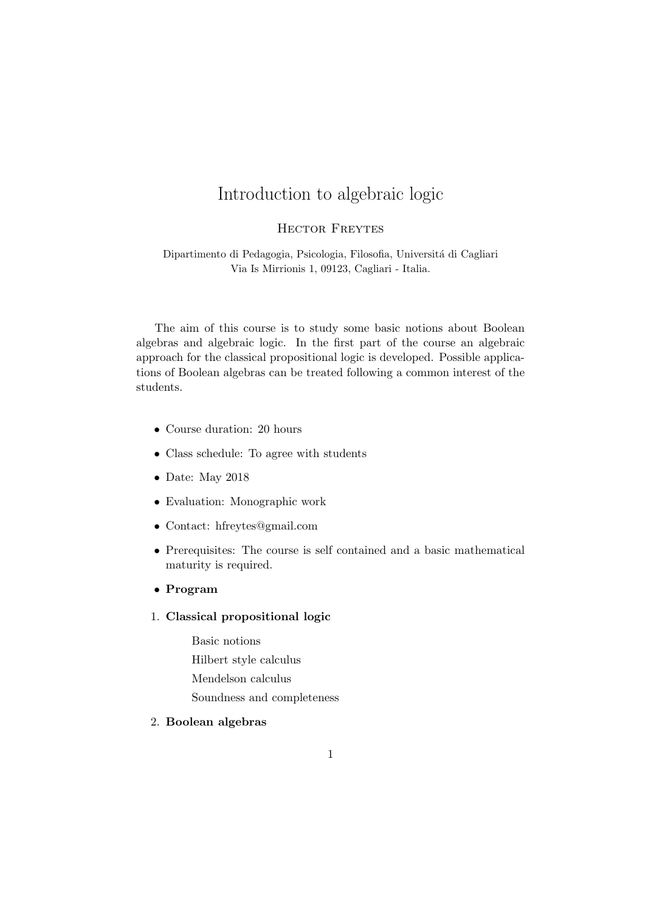# Introduction to algebraic logic

#### Hector Freytes

Dipartimento di Pedagogia, Psicologia, Filosofia, Universitá di Cagliari Via Is Mirrionis 1, 09123, Cagliari - Italia.

The aim of this course is to study some basic notions about Boolean algebras and algebraic logic. In the first part of the course an algebraic approach for the classical propositional logic is developed. Possible applications of Boolean algebras can be treated following a common interest of the students.

- Course duration: 20 hours
- Class schedule: To agree with students
- Date: May 2018
- Evaluation: Monographic work
- Contact: hfreytes@gmail.com
- Prerequisites: The course is self contained and a basic mathematical maturity is required.
- Program

### 1. Classical propositional logic

Basic notions Hilbert style calculus Mendelson calculus Soundness and completeness

#### 2. Boolean algebras